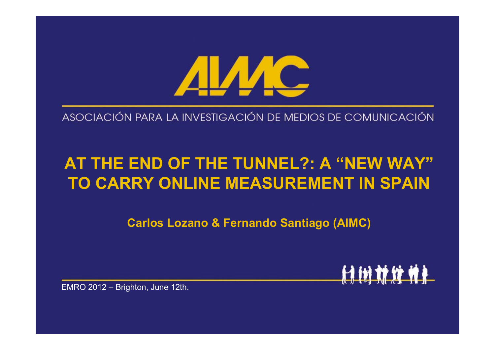

ASOCIACIÓN PARA LA INVESTIGACIÓN DE MEDIOS DE COMUNICACIÓN

# **AT THE END OF THE TUNNEL?: A "NEW WAY"TO CARRY ONLINE MEASUREMENT IN SPAIN**

**Carlos Lozano & Fernando Santiago (AIMC)**

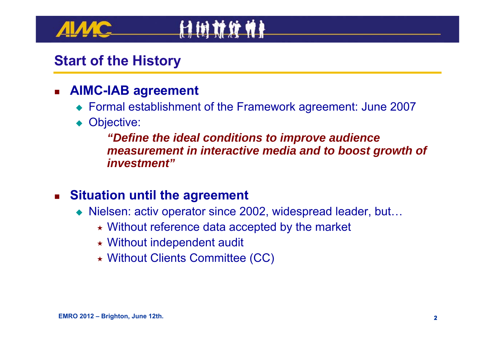### **Start of the History**

#### П **AIMC-IAB agreement**

- Formal establishment of the Framework agreement: June 2007
- ◆ Objective:

*"Define the ideal conditions to improve audience measurement in interactive media and to boost growth of investment"*

#### $\mathcal{L}_{\text{max}}$ **Situation until the agreement**

- ◆ Nielsen: activ operator since 2002, widespread leader, but...
	- Without reference data accepted by the market
	- Without independent audit
	- Without Clients Committee (CC)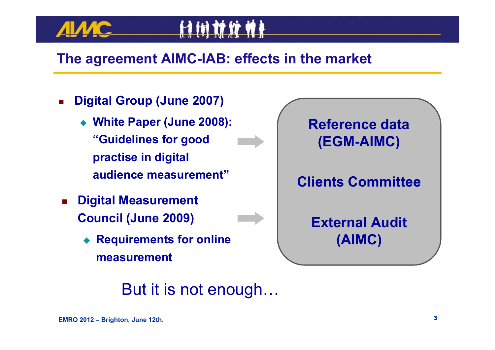### **The agreement AIMC-IAB: effects in the market**

11 IN **17 IF WA** 

- П **Digital Group (June 2007)**
	- **White Paper (June 2008): "Guidelines for good practise in digital audience measurement"**
- Digital Measurement<br>Council (June 2009)<br>● Requirements for encontries and the assurement<br>But it is no **Council (June 2009)**
	- ♦ **Requirements for online measurement**



But it is not enough…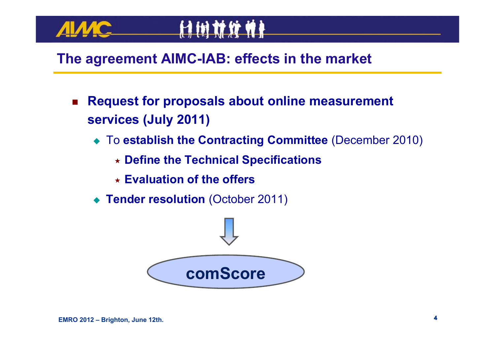

#### **The agreement AIMC-IAB: effects in the market**

- Π **Request for proposals about online measurement services (July 2011)**
	- To **establish the Contracting Committee** (December 2010)
		- **Define the Technical Specifications**
		- **Evaluation of the offers**
	- **Tender resolution** (October 2011)

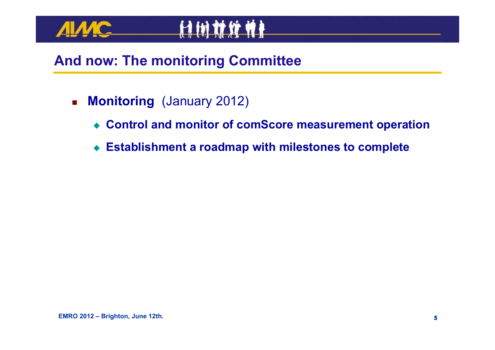



### **And now: The monitoring Committee**

- $\mathbf{r}$  **Monitoring** (January 2012)
	- **Control and monitor of comScore measurement operation**
	- **Establishment a roadmap with milestones to complete**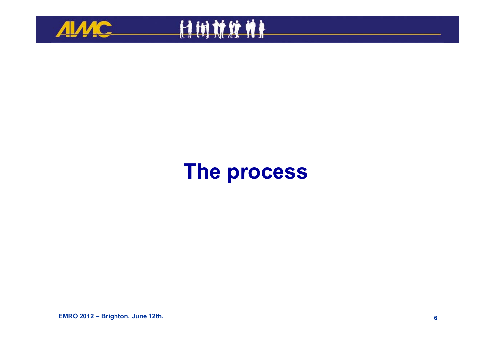



# **The process**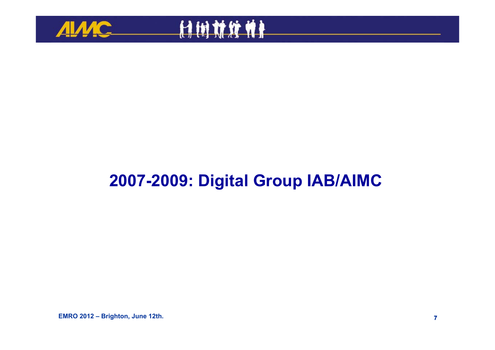



# **2007-2009: Digital Group IAB/AIMC**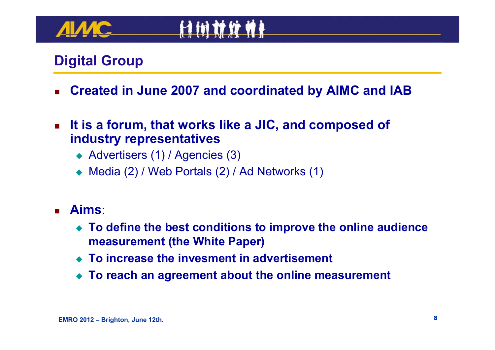### **Digital Group**

- П **Created in June 2007 and coordinated by AIMC and IAB**
- $\mathcal{L}_{\mathcal{A}}$  **It is a forum, that works like a JIC, and composed of industry representatives**
	- ◆ Advertisers (1) / Agencies (3)
	- ◆ Media (2) / Web Portals (2) / Ad Networks (1)
- П **Aims**:
	- **To define the best conditions to improve the online audience measurement (the White Paper)**
	- **To increase the invesment in advertisement**
	- **To reach an agreement about the online measurement**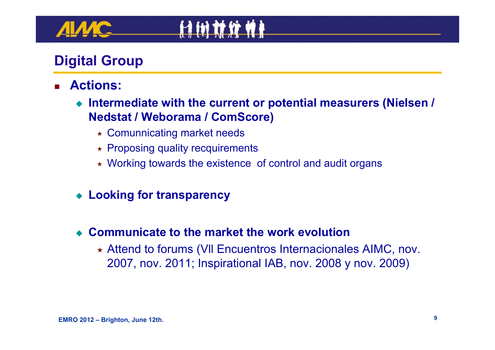### **Digital Group**

- П **Actions:**
	- **Intermediate with the current or potential measurers (Nielsen / Nedstat / Weborama / ComScore)**
		- Comunnicating market needs
		- $\star$  Proposing quality recquirements
		- Working towards the existence of control and audit organs
	- **Looking for transparency**
	- ♦ **Communicate to the market the work evolution**
		- Attend to forums (Vll Encuentros Internacionales AIMC, nov. 2007, nov. 2011; Inspirational IAB, nov. 2008 y nov. 2009)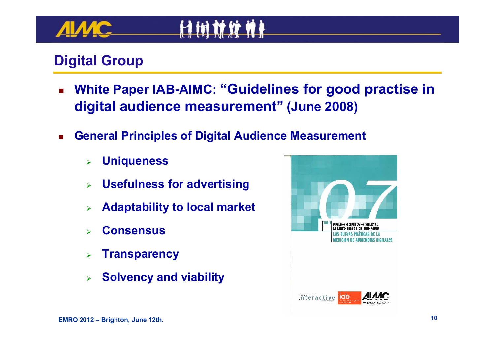### **Digital Group**

- П **White Paper IAB-AIMC: "Guidelines for good practise in digital audience measurement" (June 2008)**
- П **General Principles of Digital Audience Measurement**
	- $\blacktriangleright$ **Uniqueness**
	- $\blacktriangleright$ **Usefulness for advertising**
	- $\blacktriangleright$ **Adaptability to local market**
	- $\blacktriangleright$ **Consensus**
	- $\blacktriangleright$ **Transparency**
	- $\blacktriangleright$ **Solvency and viability**

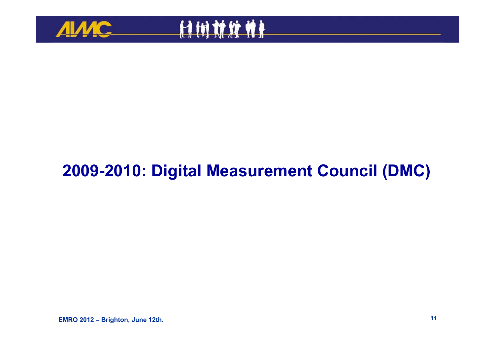



# **2009-2010: Digital Measurement Council (DMC)**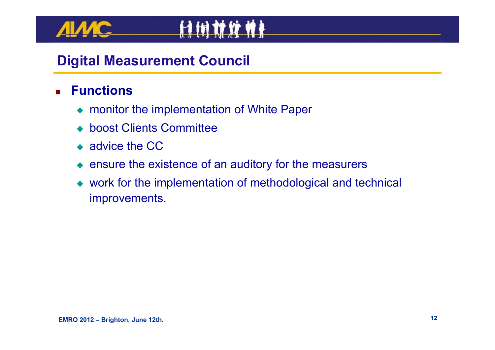#### П **Functions**

- ◆ monitor the implementation of White Paper
- ◆ boost Clients Committee
- ◆ advice the CC
- $\bullet$  ensure the existence of an auditory for the measurers

**HIMMWHA** 

 work for the implementation of methodological and technical improvements.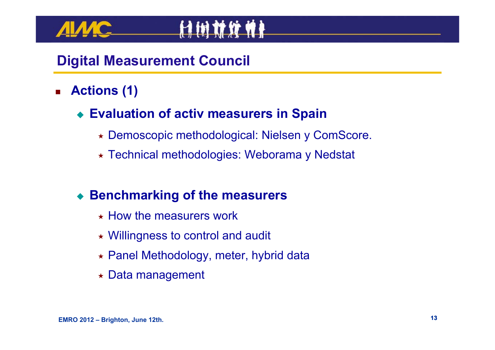#### П **Actions (1)**

#### **Evaluation of activ measurers in Spain**

- Demoscopic methodological: Nielsen y ComScore.
- Technical methodologies: Weborama y Nedstat

#### **Benchmarking of the measurers**

- $\star$  How the measurers work
- Willingness to control and audit
- Panel Methodology, meter, hybrid data
- Data management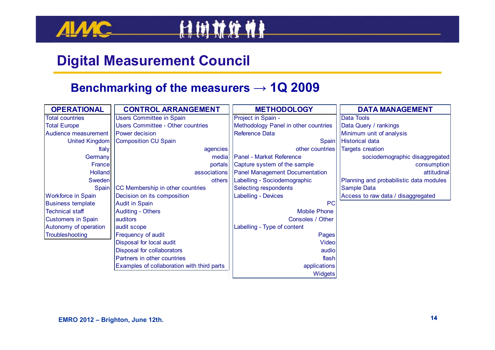



#### **Benchmarking of the measurers <sup>→</sup> 1Q 2009**

| <b>OPERATIONAL</b>               | <b>CONTROL ARRANGEMENT</b>                 | <b>METHODOLOGY</b>                    | <b>DATA MANAGEMENT</b>                  |  |
|----------------------------------|--------------------------------------------|---------------------------------------|-----------------------------------------|--|
| <b>Total countries</b>           | <b>Users Committee in Spain</b>            | Project in Spain -                    | <b>Data Tools</b>                       |  |
| <b>Total Europe</b>              | Users Committee - Other countries          | Methodology Panel in other countries  | Data Query / rankings                   |  |
| Audience measurement             | Power decision                             | Reference Data                        | Minimum unit of analysis                |  |
| <b>United Kingdom</b>            | Composition CU Spain                       | Spain                                 | <b>Historical data</b>                  |  |
| Italy                            | agencies                                   | other countries                       | <b>Targets creation</b>                 |  |
| Germany                          | media                                      | <b>Panel - Market Reference</b>       | sociodemographic disaggregated          |  |
| France                           | portals                                    | Capture system of the sample          | consumption                             |  |
| Holland                          | associations                               | <b>Panel Management Documentation</b> | attitudinal                             |  |
| Sweden                           | others                                     | Labelling - Sociodemographic          | Planning and probabilistic data modules |  |
| Spain                            | CC Membership in other countries           | Selecting respondents                 | Sample Data                             |  |
| <b>Workforce in Spain</b>        | Decision on its composition                | <b>Labelling - Devices</b>            | Access to raw data / disaggregated      |  |
| <b>Business template</b>         | <b>Audit in Spain</b>                      | PC                                    |                                         |  |
| <b>Technical staff</b>           | <b>Auditing - Others</b>                   | <b>Mobile Phone</b>                   |                                         |  |
| <b>Customers in Spain</b>        | auditors                                   | Consoles / Other                      |                                         |  |
| Autonomy of operation            | audit scope                                | Labelling - Type of content           |                                         |  |
| Troubleshooting                  | Frequency of audit                         | Pages                                 |                                         |  |
|                                  | Disposal for local audit                   | <b>Video</b>                          |                                         |  |
|                                  | Disposal for collaborators                 | audio                                 |                                         |  |
|                                  | Partners in other countries                | flash                                 |                                         |  |
|                                  | Examples of collaboration with third parts | applications                          |                                         |  |
|                                  |                                            | Widgets                               |                                         |  |
|                                  |                                            |                                       |                                         |  |
|                                  |                                            |                                       |                                         |  |
|                                  |                                            |                                       |                                         |  |
|                                  |                                            |                                       |                                         |  |
| EMRO 2012 - Brighton, June 12th. |                                            |                                       | 14                                      |  |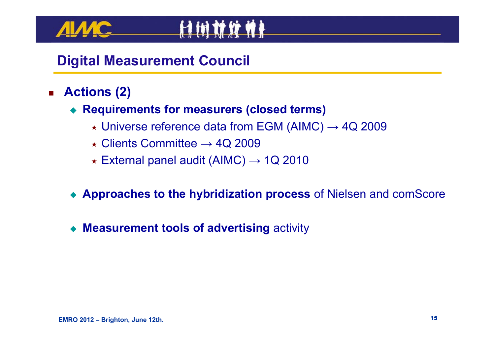- $\blacksquare$  **Actions (2)**
	- ◆ **Requirements for measurers (closed terms)** 
		- $\star$  Universe reference data from EGM (AIMC)  $\rightarrow$  4Q 2009
		- $\star$  Clients Committee  $\rightarrow$  4Q 2009
		- $\star$  External panel audit (AIMC)  $\rightarrow$  1Q 2010
	- **Approaches to the hybridization process** of Nielsen and comScore
	- ♦ **Measurement tools of advertising** activity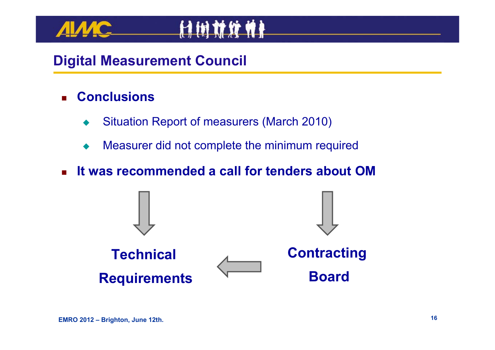#### П **Conclusions**

- ♦ Situation Report of measurers (March 2010)
- ♦ Measurer did not complete the minimum required
- $\mathbf{r}$ **It was recommended a call for tenders about OM**

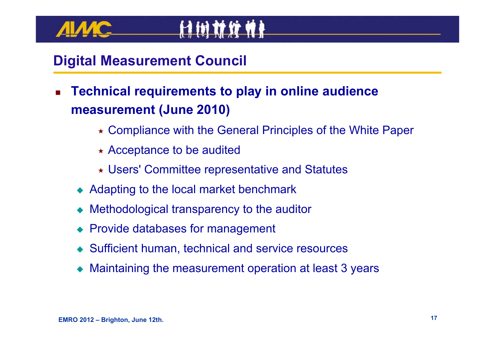- П **Technical requirements to play in online audience measurement (June 2010)**
	- Compliance with the General Principles of the White Paper
	- $\star$  Acceptance to be audited
	- Users' Committee representative and Statutes
	- ◆ Adapting to the local market benchmark
	- ◆ Methodological transparency to the auditor
	- ◆ Provide databases for management
	- Sufficient human, technical and service resources
	- Maintaining the measurement operation at least 3 years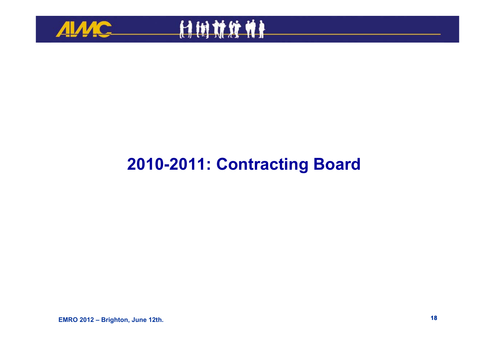



## **2010-2011: Contracting Board**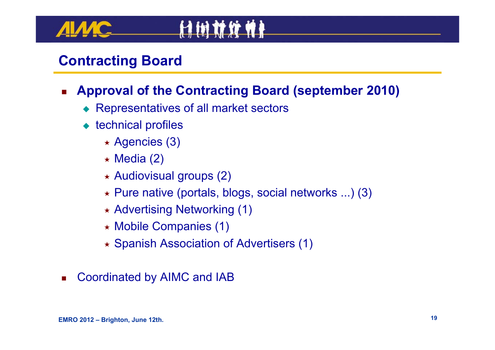#### П **Approval of the Contracting Board (september 2010)**

- ◆ Representatives of all market sectors
- ◆ technical profiles
	- Agencies (3)
	- $\star$  Media (2)
	- $\star$  Audiovisual groups (2)
	- Pure native (portals, blogs, social networks ...) (3)
	- Advertising Networking (1)
	- Mobile Companies (1)
	- Spanish Association of Advertisers (1)
- $\mathcal{L}^{\mathcal{A}}$ Coordinated by AIMC and IAB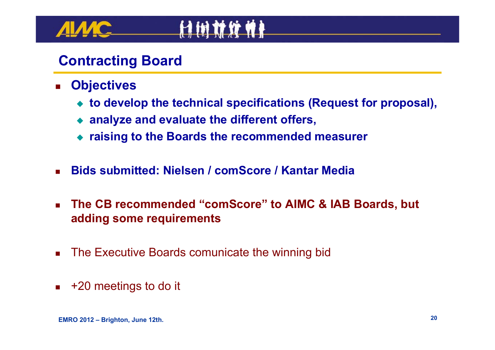- $\mathbf{r}$  **Objectives**
	- **to develop the technical specifications (Request for proposal),**
	- **analyze and evaluate the different offers,**
	- **raising to the Boards the recommended measurer**
- П **Bids submitted: Nielsen / comScore / Kantar Media**
- $\blacksquare$  **The CB recommended "comScore" to AIMC & IAB Boards, but adding some requirements**
- H. The Executive Boards comunicate the winning bid
- П +20 meetings to do it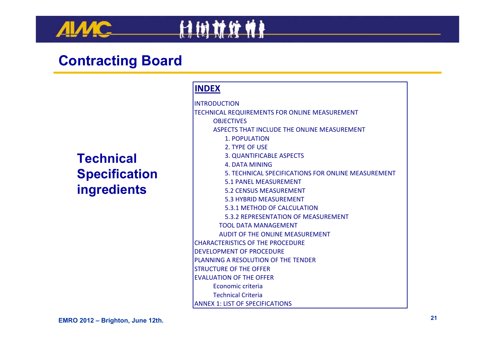**MC** 

#### **Technical Specification ingredients**

#### **INDEX**

计树材纹件

INTRODUCTIONTECHNICAL REQUIREMENTS FOR ONLINE MEASUREMENT **OBJECTIVES** ASPECTS THAT INCLUDE THE ONLINE MEASUREMENT 1. POPULATION2. TYPE OF USE 3. QUANTIFICABLE ASPECTS 4. DATA MINING5. TECHNICAL SPECIFICATIONS FOR ONLINE MEASUREMENT 5.1 PANEL MEASUREMENT 5.2 CENSUS MEASUREMENT 5.3 HYBRID MEASUREMENT 5.3.1 METHOD OF CALCULATION5.3.2 REPRESENTATION OF MEASUREMENT TOOL DATA MANAGEMENT AUDIT OF THE ONLINE MEASUREMENT CHARACTERISTICS OF THE PROCEDURE DEVELOPMENT OF PROCEDUREPLANNING A RESOLUTION OF THE TENDER STRUCTURE OF THE OFFEREVALUATION OF THE OFFER Economic criteriaTechnical CriteriaANNEX 1: LIST OF SPECIFICATIONS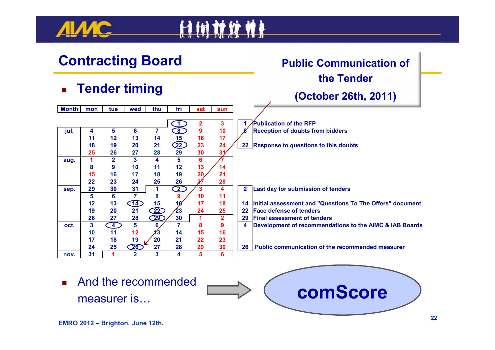

**25**

**15**

**10 11**

**nov. 31**

# 计树材纹件



■ And the recommended **in the figure of the recommended**  $\qquad \qquad \qquad \qquad$  **comScore**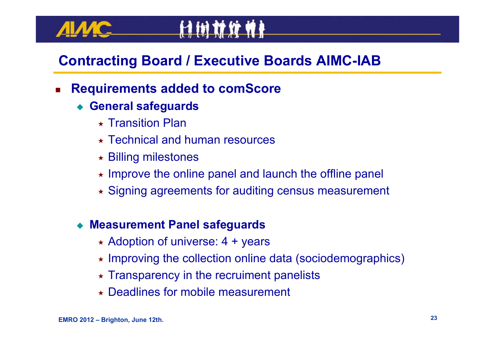# **Contracting Board / Executive Boards AIMC-IAB**

#### П **Requirements added to comScore**

- **General safeguards**
	- $\star$  Transition Plan
	- Technical and human resources
	- Billing milestones
	- $\star$  Improve the online panel and launch the offline panel
	- Signing agreements for auditing census measurement

#### ♦ **Measurement Panel safeguards**

- \* Adoption of universe: 4 + years
- Improving the collection online data (sociodemographics)
- $\star$  Transparency in the recruiment panelists
- Deadlines for mobile measurement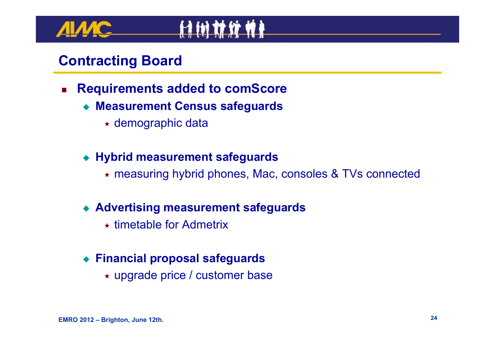- П **Requirements added to comScore**
	- **Measurement Census safeguards** 
		- demographic data
	- **Hybrid measurement safeguards**
		- measuring hybrid phones, Mac, consoles & TVs connected
	- **Advertising measurement safeguards**
		- $\star$  timetable for Admetrix

#### ♦ **Financial proposal safeguards**

upgrade price / customer base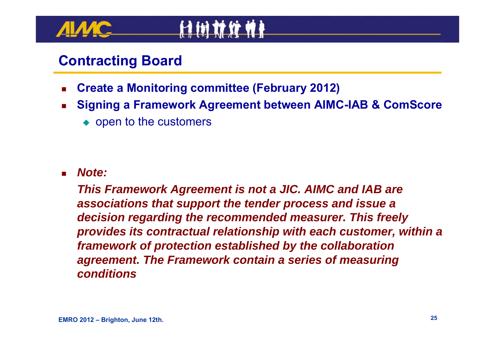- П **Create a Monitoring committee (February 2012)**
- П **Signing a Framework Agreement between AIMC-IAB & ComScore**
	- $\bullet$  open to the customers

L *Note:* 

> *This Framework Agreement is not a JIC. AIMC and IAB are associations that support the tender process and issue a decision regarding the recommended measurer. This freely provides its contractual relationship with each customer, within a framework of protection established by the collaboration agreement. The Framework contain a series of measuring conditions*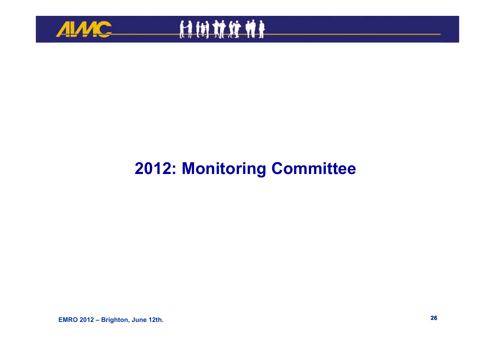



## **2012: Monitoring Committee**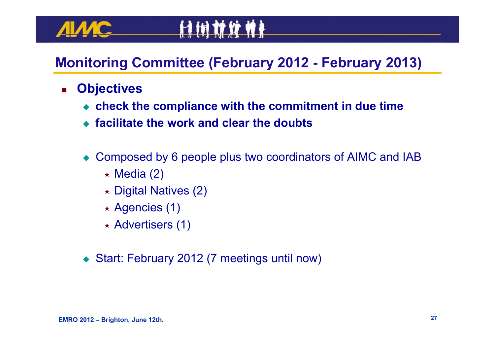### **Monitoring Committee (February 2012 - February 2013)**

**H in 11 If N &** 

#### $\mathcal{L}_{\mathcal{A}}$ **Objectives**

- **check the compliance with the commitment in due time**
- **facilitate the work and clear the doubts**
- ♦ Composed by 6 people plus two coordinators of AIMC and IAB
	- $\star$  Media (2)
	- Digital Natives (2)
	- Agencies (1)
	- Advertisers (1)
- ♦ Start: February 2012 (7 meetings until now)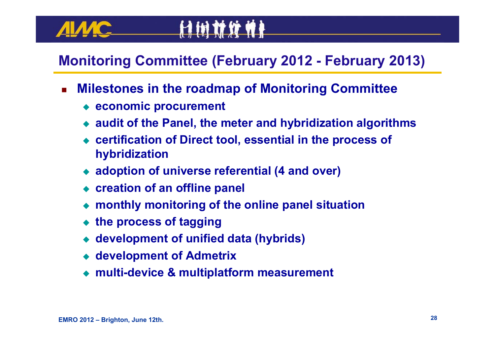#### **Monitoring Committee (February 2012 - February 2013)**

П **Milestones in the roadmap of Monitoring Committee**

**A in 11 17 4 1** 

- **economic procurement**
- **audit of the Panel, the meter and hybridization algorithms**
- ◆ **certification of Direct tool, essential in the process of hybridization**
- **adoption of universe referential (4 and over)**
- **creation of an offline panel**
- ◆ **monthly monitoring of the online panel situation**
- ♦ **the process of tagging**
- ♦ **development of unified data (hybrids)**
- **development of Admetrix**
- ♦ **multi-device & multiplatform measurement**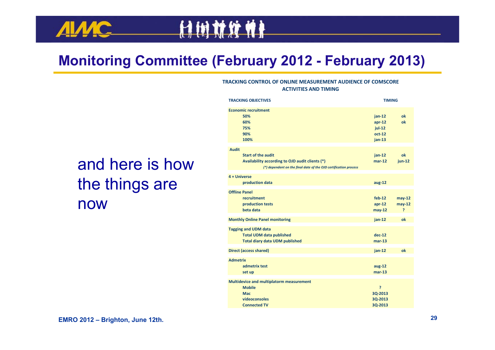#### **Monitoring Committee (February 2012 - February 2013)**

计树材纹件

#### **TRACKING CONTROL OF ONLINE MEASUREMENT AUDIENCE OF COMSCORE ACTIVITIES AND TIMING**

# and here is how the things are now

| <b>TRACKING OBJECTIVES</b>                                                                                                                                       | <b>TIMING</b>                                            |                                      |
|------------------------------------------------------------------------------------------------------------------------------------------------------------------|----------------------------------------------------------|--------------------------------------|
| <b>Economic recruitment</b><br>50%<br>60%<br>75%<br>90%<br>100%                                                                                                  | $jan-12$<br>$apr-12$<br>$jul-12$<br>$oct-12$<br>$jan-13$ | ok<br>ok                             |
| <b>Audit</b><br><b>Start of the audit</b><br>Availability according to OJD audit clients (*)<br>(*) dependent on the final date of the OJD certification process | $jan-12$<br>$mar-12$                                     | ok<br>$jun-12$                       |
| 4 + Universe<br>production data                                                                                                                                  | $aug-12$                                                 |                                      |
| <b>Offline Panel</b><br><b>recruitment</b><br>production tests<br>beta data                                                                                      | $feb-12$<br>$apr-12$<br>$may-12$                         | $may-12$<br>$may-12$<br><sup>2</sup> |
| <b>Monthly Online Panel monitoring</b>                                                                                                                           | $jan-12$                                                 | ok                                   |
| <b>Tagging and UDM data</b><br><b>Total UDM data published</b><br><b>Total diary data UDM published</b>                                                          | $dec-12$<br>$mar-13$                                     |                                      |
| <b>Direct (access shared)</b>                                                                                                                                    | jan-12                                                   | ok                                   |
| <b>Admetrix</b><br>admetrix test<br>set up                                                                                                                       | $aug-12$<br>$mar-13$                                     |                                      |
| Multidevice and multiplatorm measurement<br><b>Mobile</b><br><b>Mac</b><br>videoconsoles<br><b>Connected TV</b>                                                  | P<br>3Q-2013<br>3Q-2013<br>3Q-2013                       |                                      |